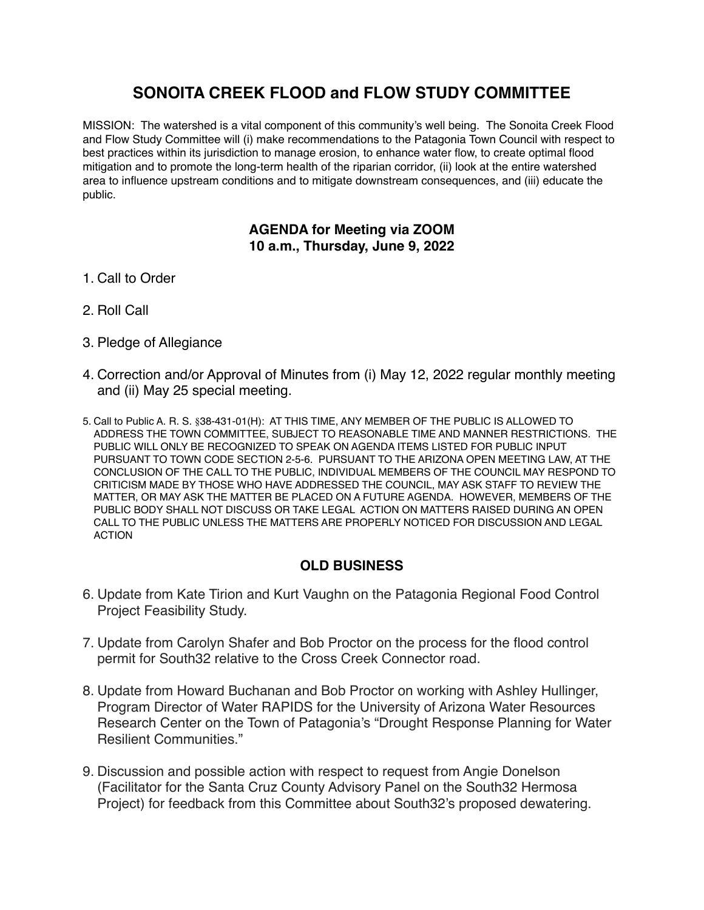## **SONOITA CREEK FLOOD and FLOW STUDY COMMITTEE**

MISSION: The watershed is a vital component of this community's well being. The Sonoita Creek Flood and Flow Study Committee will (i) make recommendations to the Patagonia Town Council with respect to best practices within its jurisdiction to manage erosion, to enhance water flow, to create optimal flood mitigation and to promote the long-term health of the riparian corridor, (ii) look at the entire watershed area to influence upstream conditions and to mitigate downstream consequences, and (iii) educate the public.

## **AGENDA for Meeting via ZOOM 10 a.m., Thursday, June 9, 2022**

- 1. Call to Order
- 2. Roll Call
- 3. Pledge of Allegiance
- 4. Correction and/or Approval of Minutes from (i) May 12, 2022 regular monthly meeting and (ii) May 25 special meeting.
- 5. Call to Public A. R. S. §38-431-01(H): AT THIS TIME, ANY MEMBER OF THE PUBLIC IS ALLOWED TO ADDRESS THE TOWN COMMITTEE, SUBJECT TO REASONABLE TIME AND MANNER RESTRICTIONS. THE PUBLIC WILL ONLY BE RECOGNIZED TO SPEAK ON AGENDA ITEMS LISTED FOR PUBLIC INPUT PURSUANT TO TOWN CODE SECTION 2-5-6. PURSUANT TO THE ARIZONA OPEN MEETING LAW, AT THE CONCLUSION OF THE CALL TO THE PUBLIC, INDIVIDUAL MEMBERS OF THE COUNCIL MAY RESPOND TO CRITICISM MADE BY THOSE WHO HAVE ADDRESSED THE COUNCIL, MAY ASK STAFF TO REVIEW THE MATTER, OR MAY ASK THE MATTER BE PLACED ON A FUTURE AGENDA. HOWEVER, MEMBERS OF THE PUBLIC BODY SHALL NOT DISCUSS OR TAKE LEGAL ACTION ON MATTERS RAISED DURING AN OPEN CALL TO THE PUBLIC UNLESS THE MATTERS ARE PROPERLY NOTICED FOR DISCUSSION AND LEGAL ACTION

## **OLD BUSINESS**

- 6. Update from Kate Tirion and Kurt Vaughn on the Patagonia Regional Food Control Project Feasibility Study.
- 7. Update from Carolyn Shafer and Bob Proctor on the process for the flood control permit for South32 relative to the Cross Creek Connector road.
- 8. Update from Howard Buchanan and Bob Proctor on working with Ashley Hullinger, Program Director of Water RAPIDS for the University of Arizona Water Resources Research Center on the Town of Patagonia's "Drought Response Planning for Water Resilient Communities."
- 9. Discussion and possible action with respect to request from Angie Donelson (Facilitator for the Santa Cruz County Advisory Panel on the South32 Hermosa Project) for feedback from this Committee about South32's proposed dewatering.